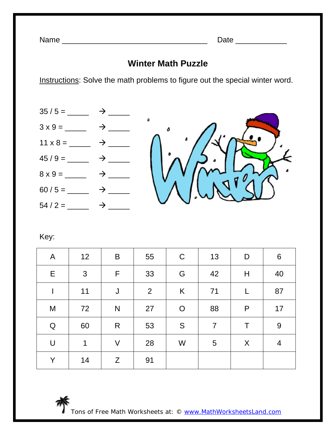## **Winter Math Puzzle**

Instructions: Solve the math problems to figure out the special winter word.



Key:

| $\mathsf{A}$ | 12 | $\mathsf B$  | 55 | $\mathsf C$  | 13             | D         | 6  |
|--------------|----|--------------|----|--------------|----------------|-----------|----|
| E            | 3  | F            | 33 | G            | 42             | Η         | 40 |
|              | 11 | J            | 2  | K            | 71             |           | 87 |
| M            | 72 | $\mathsf{N}$ | 27 | $\mathsf{O}$ | 88             | ${\sf P}$ | 17 |
| ${\bf Q}$    | 60 | R            | 53 | S            | $\overline{7}$ | Τ         | 9  |
| $\bigcup$    | 1  | $\vee$       | 28 | W            | 5              | X         | 4  |
| Y            | 14 | Z            | 91 |              |                |           |    |



Tons of Free Math Worksheets at: © www.MathWorksheetsLand.com